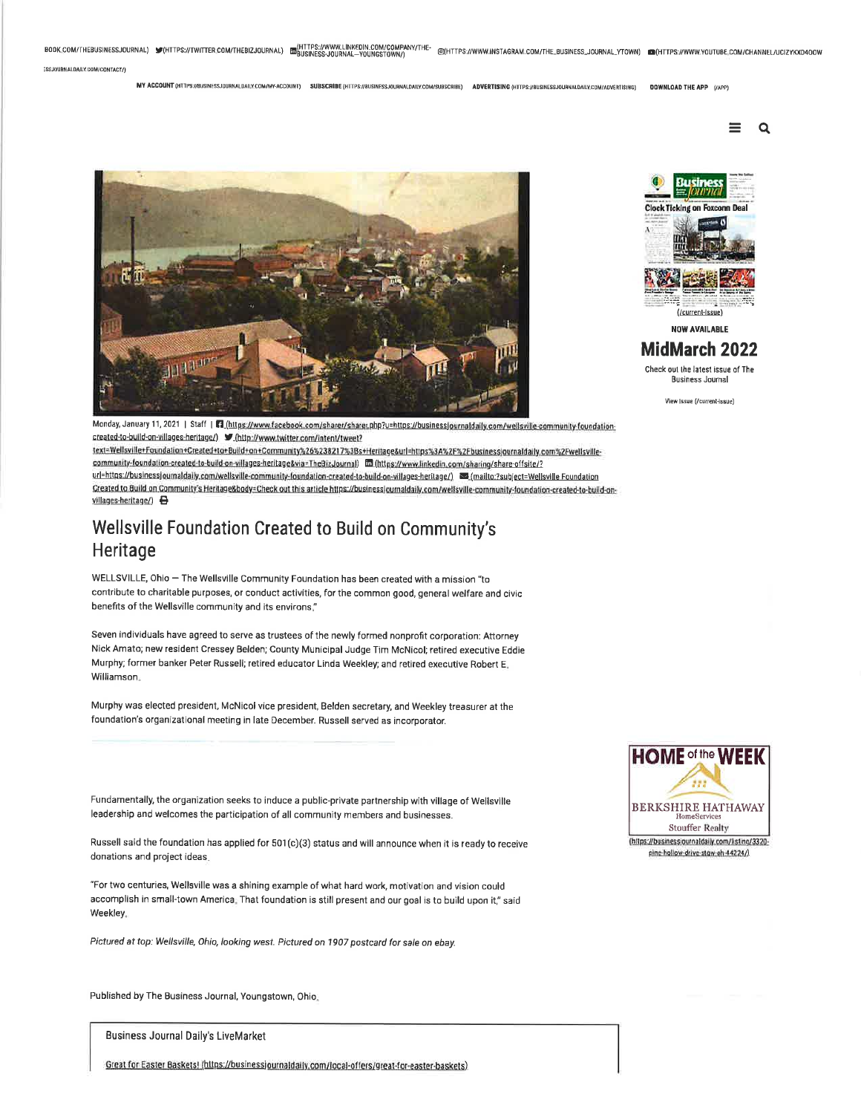BOOK.COM/THEBUSINESSJOURNAL) W(HTTPS://TWITTER.COM/THEBIZJOURNAL) EM HTTPS://WWW.INKEDING.COM/THE- @(HTTPS://WWW.INSTAGRAM.COM/THE\_BUSINESS\_JOURNAL\_YTOWN) an(HTTPS://WWW.YOUTUBE.COM/CHANNEL/UCIZYKXD400W ESSJOURNALDAILY.COM/CONTACT/)

MY ACCOUNT (HTTPS://BUSINESSJOURNALDAILY.COM/MY-ACCOUNT) SUBSCRIBE (HTTPS://BUSINESSJOURNALDAILY.COM/SUBSCRIBE) ADVERTISING (HTTPS://BUSINESSJOURNALDAILY.COM/ADVERTISING) **DOWNLOAD THE APP (/APP)** 

 $\alpha$ 





**NOW AVAILABLE** 

#### **MidMarch 2022**

Check out the latest issue of The **Business Journal** 

View Issue (/current-issue)

Monday, January 11, 2021 | Staff | T1 (https://www.facebook.com/sharer/sharer.php?u=https://businessjournaldaily.com/wellsville-community-foundation-

text=Wellsville+Foundation+Created+to+Build+on+Community%26%238217%3Bs+Heritage&url=https%3A%2F%2Fbusinessjournaldaily.com%2Fwellsvillecommunity-foundation-created-to-build-on-villages-heritage&via=TheBizJournal) In (https://www.linkedin.com/sharing/share-offsite/? url=https://businessjournaldaily.com/wellsville-community-foundation-created-to-build-on-villages-heritage/) <a>[mailto:?subject=Wellsville-Foundation Created to Build on Community's Heritage&body=Check out this article https://businessjournaldaily.com/wellsville-community-foundation-created-to-build-onvillages-heritage/)

## Wellsville Foundation Created to Build on Community's Heritage

WELLSVILLE, Ohio - The Wellsville Community Foundation has been created with a mission "to contribute to charitable purposes, or conduct activities, for the common good, general welfare and civic benefits of the Wellsville community and its environs."

Seven individuals have agreed to serve as trustees of the newly formed nonprofit corporation: Attorney Nick Amato; new resident Cressey Belden; County Municipal Judge Tim McNicol; retired executive Eddie Murphy; former banker Peter Russell; retired educator Linda Weekley; and retired executive Robert E. Williamson.

Murphy was elected president, McNicol vice president, Belden secretary, and Weekley treasurer at the foundation's organizational meeting in late December. Russell served as incorporator.

Fundamentally, the organization seeks to induce a public-private partnership with village of Wellsville leadership and welcomes the participation of all community members and businesses.

Russell said the foundation has applied for 501(c)(3) status and will announce when it is ready to receive donations and project ideas.

"For two centuries, Wellsville was a shining example of what hard work, motivation and vision could accomplish in small-town America. That foundation is still present and our goal is to build upon it," said **Weekley** 

Pictured at top: Wellsville, Ohio, looking west. Pictured on 1907 postcard for sale on ebay.

Published by The Business Journal, Youngstown, Ohio.

**Business Journal Daily's LiveMarket** 

Great for Easter Baskets! (https://businessjournaldaily.com/local-offers/great-for-easter-baskets)

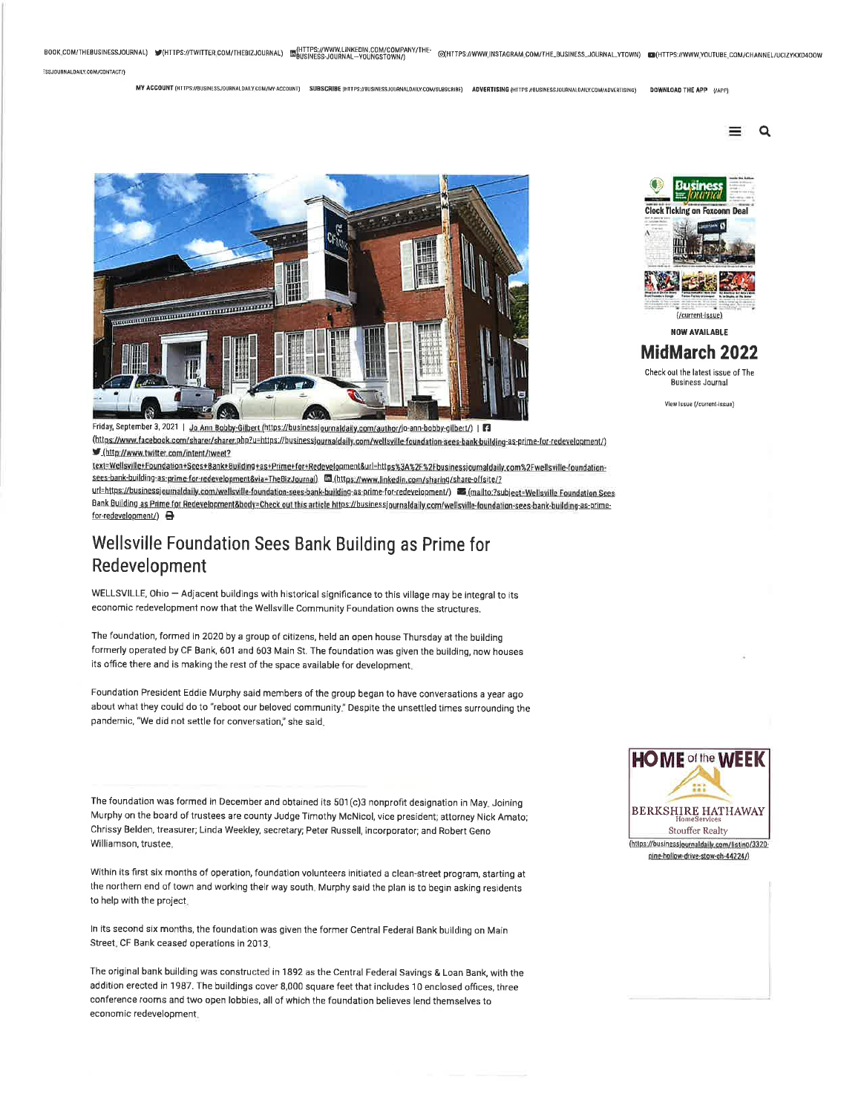BOOK.COM/THEBUSINESSJOURNAL) VHTTPS://TWITTER.COM/THEBIZJOURNAL) ENGINESS-JOURNAL-YOUNGSTOWN/) @(HTTPS://WWW.INSTAGRAM.COM/THE\_BUSINESS\_JOURNAL\_YTOWN) @(HTTPS://WWW.YOUTUBE.COM/CHANNEL/UCIZYKXD400W

ESSJOURNALDAILY.COM/CONTACT/)

MY ACCOUNT (HTTPS://BUSINESS.OURNALDAILY.COM/MY-ACCOUNT) SUBSCRIBE (HTTPS://BUSINESS.JOURNALDAILY.COM/SUBSCRIBE) ADVERTISING (HTTPS //BUSINESS.JOURNALDAILY.COM/ADVERTISING) DOWNLOAD THE APP (APP)

> $\alpha$ =



Friday, September 3, 2021 | Jo Ann Bobby-Gilbert (https://businessjournaldaily.com/author/jo-ann-bobby-gilbert/) | 3 (https://www.facebook.com/sharer/sharer.php?u=https://businessjournaldaily.com/wellsville-foundation-sees-bank-building-as-prime-for-redevelopment/) /http://www.twitter.com/intent/tweet?

text=Wellsville+Foundation+Sees+Bank+Building+as+Prime+for+Redevelopment&url=https%3A%2F%2Fbusinessjournaldaily.com%2Fwellsville-foundationsees-bank-building-as-prime-for-redevelopment&via=TheBizJournal) En (https://www.linkedin.com/sharing/share-offsite/?

Bank Building as Prime for Redevelopment&body=Check out this article https://businessjournaldaily.com/wellsville-foundation-sees-bank-building-as-primefor-redevelopment/) **a** 

# Wellsville Foundation Sees Bank Building as Prime for Redevelopment

WELLSVILLE, Ohio - Adjacent buildings with historical significance to this village may be integral to its economic redevelopment now that the Wellsville Community Foundation owns the structures.

The foundation, formed in 2020 by a group of citizens, held an open house Thursday at the building formerly operated by CF Bank, 601 and 603 Main St. The foundation was given the building, now houses its office there and is making the rest of the space available for development.

Foundation President Eddie Murphy said members of the group began to have conversations a year ago about what they could do to "reboot our beloved community." Despite the unsettled times surrounding the pandemic, "We did not settle for conversation," she said.

The foundation was formed in December and obtained its 501(c)3 nonprofit designation in May, Joining Murphy on the board of trustees are county Judge Timothy McNicol, vice president; attorney Nick Amato; Chrissy Belden, treasurer; Linda Weekley, secretary; Peter Russell, incorporator; and Robert Geno Williamson, trustee,

Within its first six months of operation, foundation volunteers initiated a clean-street program, starting at the northern end of town and working their way south. Murphy said the plan is to begin asking residents to help with the project.

In its second six months, the foundation was given the former Central Federal Bank building on Main Street, CF Bank ceased operations in 2013.

The original bank building was constructed in 1892 as the Central Federal Savings & Loan Bank, with the addition erected in 1987. The buildings cover 8,000 square feet that includes 10 enclosed offices, three conference rooms and two open lobbies, all of which the foundation believes lend themselves to economic redevelopment.





(/current-issue) **NOW AVAILABLE** 

### MidMarch 2022

Check out the latest issue of The **Business Journal** 

View Issue (/current-issue)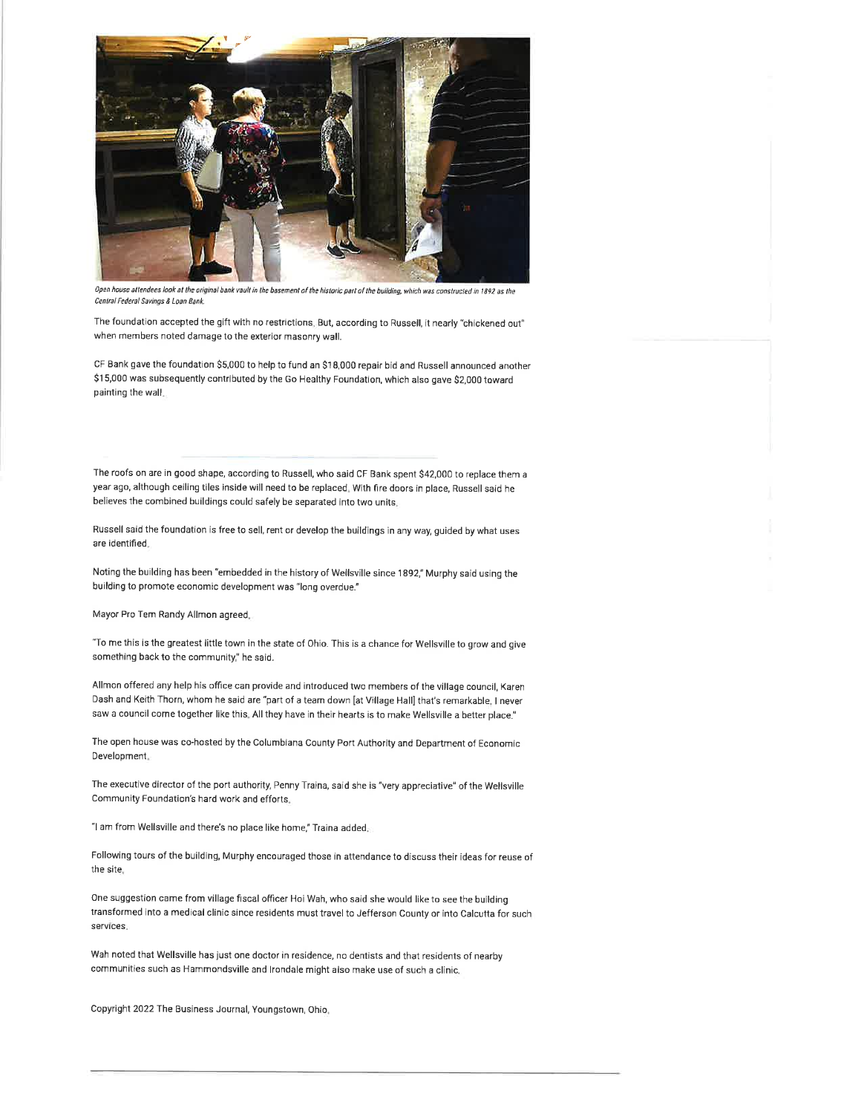

Open house attendees look at the original bank vault in the basement of the historic part of the building, which was constructed in 1892 as the Central Federal Savings & Loan Bank.

The foundation accepted the gift with no restrictions, But, according to Russell, it nearly "chickened out" when members noted damage to the exterior masonry wall.

CF Bank gave the foundation \$5,000 to help to fund an \$18,000 repair bid and Russell announced another \$15,000 was subsequently contributed by the Go Healthy Foundation, which also gave \$2,000 toward painting the wall.

The roofs on are in good shape, according to Russell, who said CF Bank spent \$42,000 to replace them a year ago, although ceiling tiles inside will need to be replaced. With fire doors in place, Russell said he believes the combined buildings could safely be separated into two units.

Russell said the foundation is free to sell, rent or develop the buildings in any way, guided by what uses are identified.

Noting the building has been "embedded in the history of Wellsville since 1892," Murphy said using the building to promote economic development was "long overdue."

Mayor Pro Tem Randy Allmon agreed.

"To me this is the greatest little town in the state of Ohio. This is a chance for Wellsville to grow and give something back to the community," he said.

Allmon offered any help his office can provide and introduced two members of the village council, Karen Dash and Keith Thorn, whom he said are "part of a team down [at Village Hall] that's remarkable, I never saw a council come together like this. All they have in their hearts is to make Wellsville a better place."

The open house was co-hosted by the Columbiana County Port Authority and Department of Economic Development.

The executive director of the port authority, Penny Traina, said she is "very appreciative" of the Wellsville Community Foundation's hard work and efforts.

"I am from Wellsville and there's no place like home," Traina added,

Following tours of the building, Murphy encouraged those in attendance to discuss their ideas for reuse of the site.

One suggestion came from village fiscal officer Hoi Wah, who said she would like to see the building transformed into a medical clinic since residents must travel to Jefferson County or into Calcutta for such services.

Wah noted that Wellsville has just one doctor in residence, no dentists and that residents of nearby communities such as Hammondsville and Irondale might also make use of such a clinic.

Copyright 2022 The Business Journal, Youngstown, Ohio.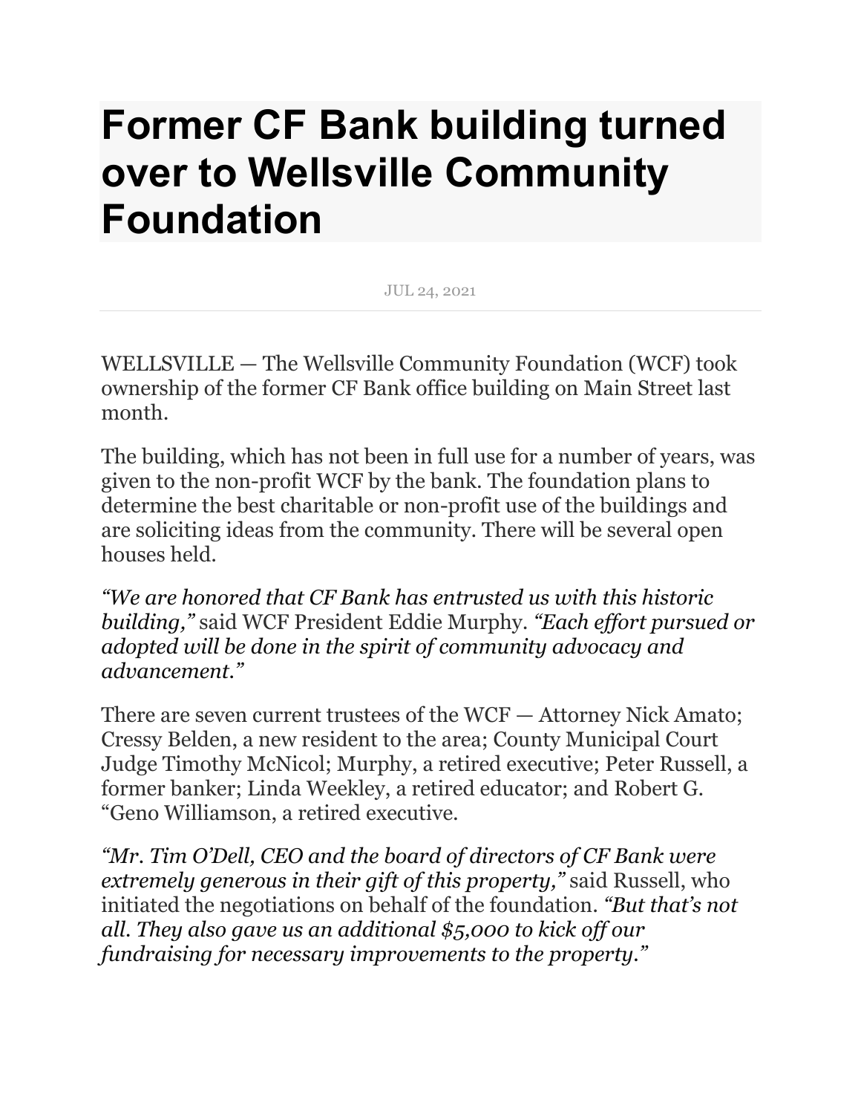# **Former CF Bank building turned over to Wellsville Community Foundation**

JUL 24, 2021

WELLSVILLE — The Wellsville Community Foundation (WCF) took ownership of the former CF Bank office building on Main Street last month.

The building, which has not been in full use for a number of years, was given to the non-profit WCF by the bank. The foundation plans to determine the best charitable or non-profit use of the buildings and are soliciting ideas from the community. There will be several open houses held.

*"We are honored that CF Bank has entrusted us with this historic building,"* said WCF President Eddie Murphy. *"Each effort pursued or adopted will be done in the spirit of community advocacy and advancement."*

There are seven current trustees of the WCF — Attorney Nick Amato; Cressy Belden, a new resident to the area; County Municipal Court Judge Timothy McNicol; Murphy, a retired executive; Peter Russell, a former banker; Linda Weekley, a retired educator; and Robert G. "Geno Williamson, a retired executive.

*"Mr. Tim O'Dell, CEO and the board of directors of CF Bank were extremely generous in their gift of this property,"* said Russell, who initiated the negotiations on behalf of the foundation. *"But that's not all. They also gave us an additional \$5,000 to kick off our fundraising for necessary improvements to the property."*